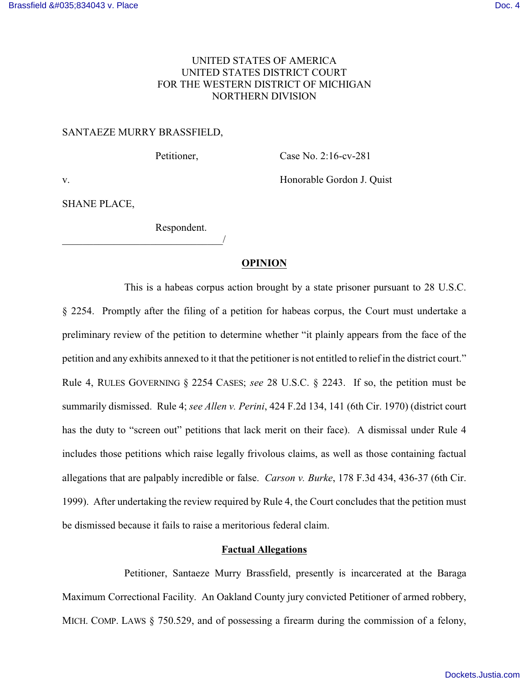# UNITED STATES OF AMERICA UNITED STATES DISTRICT COURT FOR THE WESTERN DISTRICT OF MICHIGAN NORTHERN DIVISION

#### SANTAEZE MURRY BRASSFIELD,

\_\_\_\_\_\_\_\_\_\_\_\_\_\_\_\_\_\_\_\_\_\_\_\_\_\_\_\_\_\_\_/

Petitioner, Case No. 2:16-cv-281

v. **Example Gordon J. Quist** Electron and Structure Honorable Gordon J. Quist

SHANE PLACE,

Respondent.

## **OPINION**

This is a habeas corpus action brought by a state prisoner pursuant to 28 U.S.C. § 2254. Promptly after the filing of a petition for habeas corpus, the Court must undertake a preliminary review of the petition to determine whether "it plainly appears from the face of the petition and any exhibits annexed to it that the petitioner is not entitled to relief in the district court." Rule 4, RULES GOVERNING § 2254 CASES; *see* 28 U.S.C. § 2243. If so, the petition must be summarily dismissed. Rule 4; *see Allen v. Perini*, 424 F.2d 134, 141 (6th Cir. 1970) (district court has the duty to "screen out" petitions that lack merit on their face). A dismissal under Rule 4 includes those petitions which raise legally frivolous claims, as well as those containing factual allegations that are palpably incredible or false. *Carson v. Burke*, 178 F.3d 434, 436-37 (6th Cir. 1999). After undertaking the review required by Rule 4, the Court concludes that the petition must be dismissed because it fails to raise a meritorious federal claim.

### **Factual Allegations**

Petitioner, Santaeze Murry Brassfield, presently is incarcerated at the Baraga Maximum Correctional Facility. An Oakland County jury convicted Petitioner of armed robbery, MICH. COMP. LAWS § 750.529, and of possessing a firearm during the commission of a felony,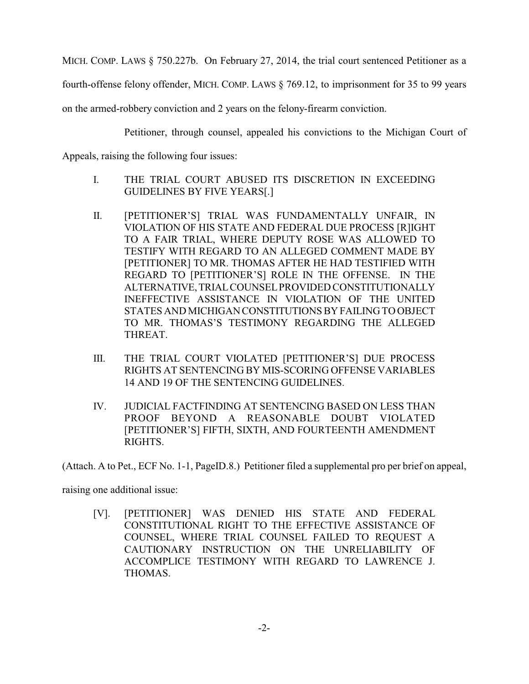MICH. COMP. LAWS § 750.227b. On February 27, 2014, the trial court sentenced Petitioner as a

fourth-offense felony offender, MICH. COMP. LAWS § 769.12, to imprisonment for 35 to 99 years

on the armed-robbery conviction and 2 years on the felony-firearm conviction.

Petitioner, through counsel, appealed his convictions to the Michigan Court of

Appeals, raising the following four issues:

- I. THE TRIAL COURT ABUSED ITS DISCRETION IN EXCEEDING GUIDELINES BY FIVE YEARS[.]
- II. [PETITIONER'S] TRIAL WAS FUNDAMENTALLY UNFAIR, IN VIOLATION OF HIS STATE AND FEDERAL DUE PROCESS [R]IGHT TO A FAIR TRIAL, WHERE DEPUTY ROSE WAS ALLOWED TO TESTIFY WITH REGARD TO AN ALLEGED COMMENT MADE BY [PETITIONER] TO MR. THOMAS AFTER HE HAD TESTIFIED WITH REGARD TO [PETITIONER'S] ROLE IN THE OFFENSE. IN THE ALTERNATIVE,TRIALCOUNSELPROVIDED CONSTITUTIONALLY INEFFECTIVE ASSISTANCE IN VIOLATION OF THE UNITED STATES AND MICHIGAN CONSTITUTIONS BY FAILING TO OBJECT TO MR. THOMAS'S TESTIMONY REGARDING THE ALLEGED THREAT.
- III. THE TRIAL COURT VIOLATED [PETITIONER'S] DUE PROCESS RIGHTS AT SENTENCING BY MIS-SCORING OFFENSE VARIABLES 14 AND 19 OF THE SENTENCING GUIDELINES.
- IV. JUDICIAL FACTFINDING AT SENTENCING BASED ON LESS THAN PROOF BEYOND A REASONABLE DOUBT VIOLATED [PETITIONER'S] FIFTH, SIXTH, AND FOURTEENTH AMENDMENT RIGHTS.

(Attach. A to Pet., ECF No. 1-1, PageID.8.) Petitioner filed a supplemental pro per brief on appeal,

raising one additional issue:

[V]. [PETITIONER] WAS DENIED HIS STATE AND FEDERAL CONSTITUTIONAL RIGHT TO THE EFFECTIVE ASSISTANCE OF COUNSEL, WHERE TRIAL COUNSEL FAILED TO REQUEST A CAUTIONARY INSTRUCTION ON THE UNRELIABILITY OF ACCOMPLICE TESTIMONY WITH REGARD TO LAWRENCE J. THOMAS.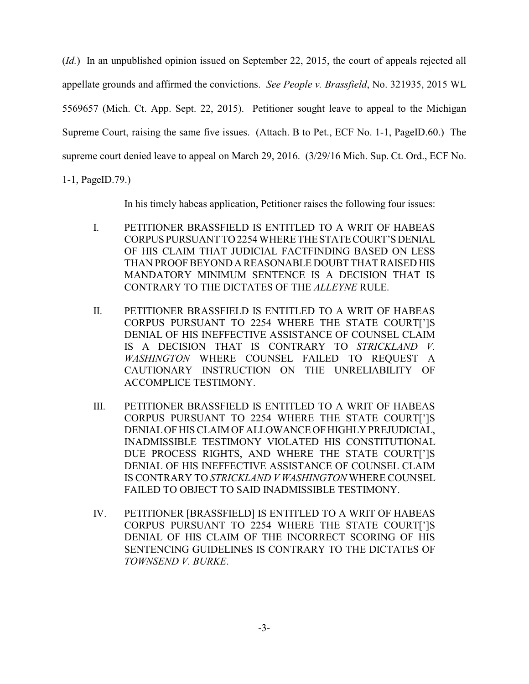(*Id.*) In an unpublished opinion issued on September 22, 2015, the court of appeals rejected all appellate grounds and affirmed the convictions. *See People v. Brassfield*, No. 321935, 2015 WL 5569657 (Mich. Ct. App. Sept. 22, 2015). Petitioner sought leave to appeal to the Michigan Supreme Court, raising the same five issues. (Attach. B to Pet., ECF No. 1-1, PageID.60.) The supreme court denied leave to appeal on March 29, 2016. (3/29/16 Mich. Sup. Ct. Ord., ECF No.

1-1, PageID.79.)

In his timely habeas application, Petitioner raises the following four issues:

- I. PETITIONER BRASSFIELD IS ENTITLED TO A WRIT OF HABEAS CORPUS PURSUANT TO 2254 WHERE THE STATE COURT'S DENIAL OF HIS CLAIM THAT JUDICIAL FACTFINDING BASED ON LESS THAN PROOFBEYOND A REASONABLE DOUBT THAT RAISED HIS MANDATORY MINIMUM SENTENCE IS A DECISION THAT IS CONTRARY TO THE DICTATES OF THE *ALLEYNE* RULE.
- II. PETITIONER BRASSFIELD IS ENTITLED TO A WRIT OF HABEAS CORPUS PURSUANT TO 2254 WHERE THE STATE COURT[']S DENIAL OF HIS INEFFECTIVE ASSISTANCE OF COUNSEL CLAIM IS A DECISION THAT IS CONTRARY TO *STRICKLAND V. WASHINGTON* WHERE COUNSEL FAILED TO REQUEST A CAUTIONARY INSTRUCTION ON THE UNRELIABILITY OF ACCOMPLICE TESTIMONY.
- III. PETITIONER BRASSFIELD IS ENTITLED TO A WRIT OF HABEAS CORPUS PURSUANT TO 2254 WHERE THE STATE COURT[']S DENIAL OF HIS CLAIM OF ALLOWANCE OF HIGHLY PREJUDICIAL, INADMISSIBLE TESTIMONY VIOLATED HIS CONSTITUTIONAL DUE PROCESS RIGHTS, AND WHERE THE STATE COURT[']S DENIAL OF HIS INEFFECTIVE ASSISTANCE OF COUNSEL CLAIM IS CONTRARY TO *STRICKLAND V WASHINGTON* WHERE COUNSEL FAILED TO OBJECT TO SAID INADMISSIBLE TESTIMONY.
- IV. PETITIONER [BRASSFIELD] IS ENTITLED TO A WRIT OF HABEAS CORPUS PURSUANT TO 2254 WHERE THE STATE COURT[']S DENIAL OF HIS CLAIM OF THE INCORRECT SCORING OF HIS SENTENCING GUIDELINES IS CONTRARY TO THE DICTATES OF *TOWNSEND V. BURKE*.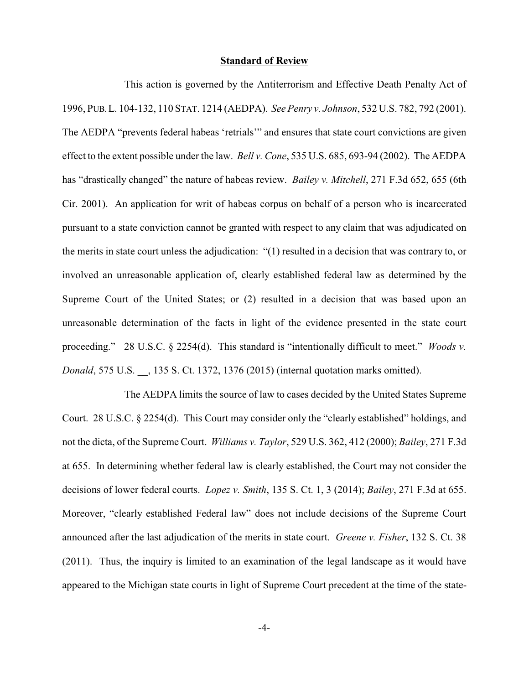### **Standard of Review**

This action is governed by the Antiterrorism and Effective Death Penalty Act of 1996, PUB.L. 104-132, 110 STAT. 1214 (AEDPA). *See Penry v. Johnson*, 532 U.S. 782, 792 (2001). The AEDPA "prevents federal habeas 'retrials'" and ensures that state court convictions are given effect to the extent possible under the law. *Bell v. Cone*, 535 U.S. 685, 693-94 (2002). The AEDPA has "drastically changed" the nature of habeas review. *Bailey v. Mitchell*, 271 F.3d 652, 655 (6th Cir. 2001). An application for writ of habeas corpus on behalf of a person who is incarcerated pursuant to a state conviction cannot be granted with respect to any claim that was adjudicated on the merits in state court unless the adjudication: "(1) resulted in a decision that was contrary to, or involved an unreasonable application of, clearly established federal law as determined by the Supreme Court of the United States; or (2) resulted in a decision that was based upon an unreasonable determination of the facts in light of the evidence presented in the state court proceeding." 28 U.S.C. § 2254(d). This standard is "intentionally difficult to meet." *Woods v. Donald*, 575 U.S. \_\_, 135 S. Ct. 1372, 1376 (2015) (internal quotation marks omitted).

The AEDPA limits the source of law to cases decided by the United States Supreme Court. 28 U.S.C. § 2254(d). This Court may consider only the "clearly established" holdings, and not the dicta, of the Supreme Court. *Williams v. Taylor*, 529 U.S. 362, 412 (2000); *Bailey*, 271 F.3d at 655. In determining whether federal law is clearly established, the Court may not consider the decisions of lower federal courts. *Lopez v. Smith*, 135 S. Ct. 1, 3 (2014); *Bailey*, 271 F.3d at 655. Moreover, "clearly established Federal law" does not include decisions of the Supreme Court announced after the last adjudication of the merits in state court. *Greene v. Fisher*, 132 S. Ct. 38 (2011). Thus, the inquiry is limited to an examination of the legal landscape as it would have appeared to the Michigan state courts in light of Supreme Court precedent at the time of the state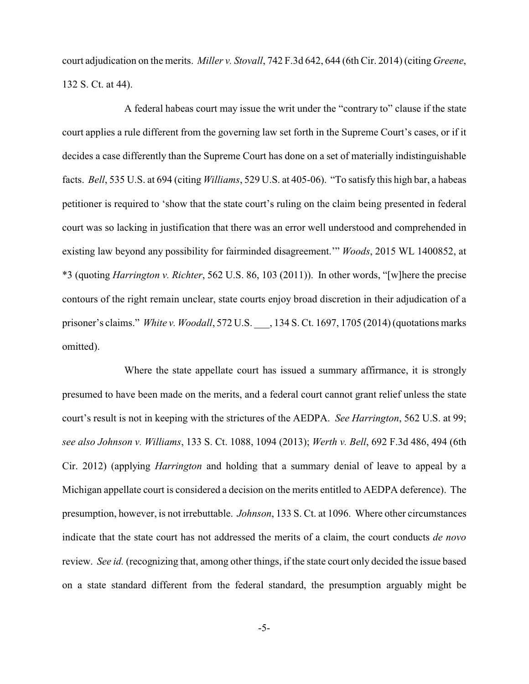court adjudication on the merits. *Miller v. Stovall*, 742 F.3d 642, 644 (6th Cir. 2014) (citing *Greene*, 132 S. Ct. at 44).

A federal habeas court may issue the writ under the "contrary to" clause if the state court applies a rule different from the governing law set forth in the Supreme Court's cases, or if it decides a case differently than the Supreme Court has done on a set of materially indistinguishable facts. *Bell*, 535 U.S. at 694 (citing *Williams*, 529 U.S. at 405-06). "To satisfy this high bar, a habeas petitioner is required to 'show that the state court's ruling on the claim being presented in federal court was so lacking in justification that there was an error well understood and comprehended in existing law beyond any possibility for fairminded disagreement.'" *Woods*, 2015 WL 1400852, at \*3 (quoting *Harrington v. Richter*, 562 U.S. 86, 103 (2011)). In other words, "[w]here the precise contours of the right remain unclear, state courts enjoy broad discretion in their adjudication of a prisoner's claims." *White v. Woodall*, 572 U.S. \_\_\_, 134 S. Ct. 1697, 1705 (2014) (quotations marks omitted).

Where the state appellate court has issued a summary affirmance, it is strongly presumed to have been made on the merits, and a federal court cannot grant relief unless the state court's result is not in keeping with the strictures of the AEDPA. *See Harrington*, 562 U.S. at 99; *see also Johnson v. Williams*, 133 S. Ct. 1088, 1094 (2013); *Werth v. Bell*, 692 F.3d 486, 494 (6th Cir. 2012) (applying *Harrington* and holding that a summary denial of leave to appeal by a Michigan appellate court is considered a decision on the merits entitled to AEDPA deference). The presumption, however, is not irrebuttable. *Johnson*, 133 S. Ct. at 1096. Where other circumstances indicate that the state court has not addressed the merits of a claim, the court conducts *de novo* review. *See id.* (recognizing that, among other things, if the state court only decided the issue based on a state standard different from the federal standard, the presumption arguably might be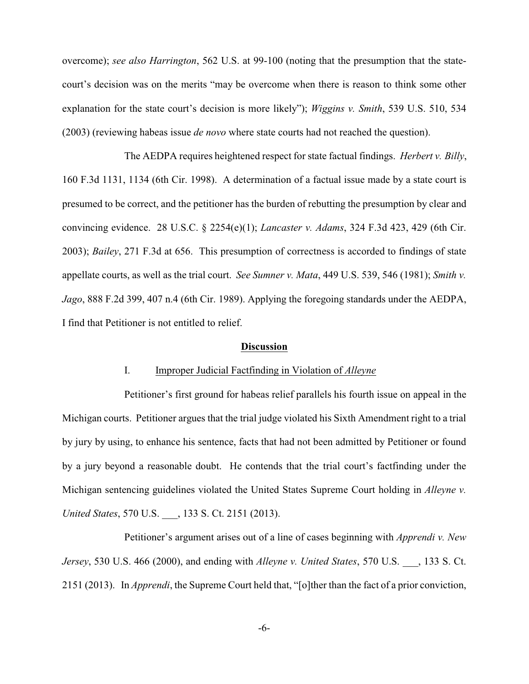overcome); *see also Harrington*, 562 U.S. at 99-100 (noting that the presumption that the statecourt's decision was on the merits "may be overcome when there is reason to think some other explanation for the state court's decision is more likely"); *Wiggins v. Smith*, 539 U.S. 510, 534 (2003) (reviewing habeas issue *de novo* where state courts had not reached the question).

The AEDPA requires heightened respect for state factual findings. *Herbert v. Billy*, 160 F.3d 1131, 1134 (6th Cir. 1998). A determination of a factual issue made by a state court is presumed to be correct, and the petitioner has the burden of rebutting the presumption by clear and convincing evidence. 28 U.S.C. § 2254(e)(1); *Lancaster v. Adams*, 324 F.3d 423, 429 (6th Cir. 2003); *Bailey*, 271 F.3d at 656. This presumption of correctness is accorded to findings of state appellate courts, as well as the trial court. *See Sumner v. Mata*, 449 U.S. 539, 546 (1981); *Smith v. Jago*, 888 F.2d 399, 407 n.4 (6th Cir. 1989). Applying the foregoing standards under the AEDPA, I find that Petitioner is not entitled to relief.

### **Discussion**

### I. Improper Judicial Factfinding in Violation of *Alleyne*

Petitioner's first ground for habeas relief parallels his fourth issue on appeal in the Michigan courts. Petitioner argues that the trial judge violated his Sixth Amendment right to a trial by jury by using, to enhance his sentence, facts that had not been admitted by Petitioner or found by a jury beyond a reasonable doubt. He contends that the trial court's factfinding under the Michigan sentencing guidelines violated the United States Supreme Court holding in *Alleyne v. United States*, 570 U.S. \_\_\_, 133 S. Ct. 2151 (2013).

Petitioner's argument arises out of a line of cases beginning with *Apprendi v. New Jersey*, 530 U.S. 466 (2000), and ending with *Alleyne v. United States*, 570 U.S. \_\_\_, 133 S. Ct. 2151 (2013). In *Apprendi*, the Supreme Court held that, "[o]ther than the fact of a prior conviction,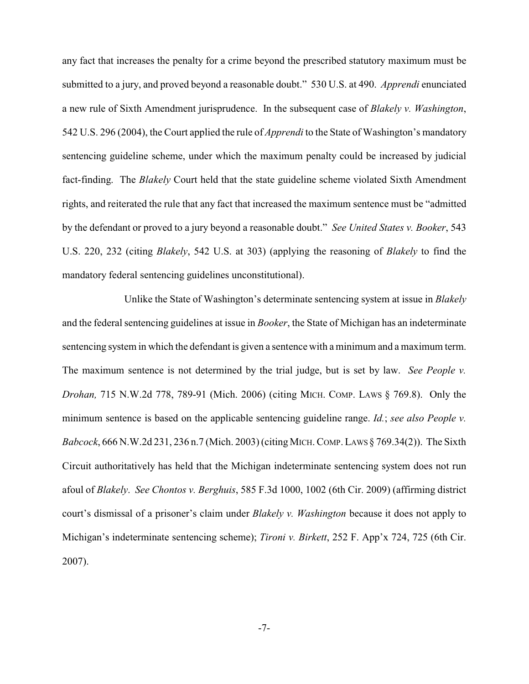any fact that increases the penalty for a crime beyond the prescribed statutory maximum must be submitted to a jury, and proved beyond a reasonable doubt." 530 U.S. at 490. *Apprendi* enunciated a new rule of Sixth Amendment jurisprudence. In the subsequent case of *Blakely v. Washington*, 542 U.S. 296 (2004), the Court applied the rule of *Apprendi* to the State of Washington's mandatory sentencing guideline scheme, under which the maximum penalty could be increased by judicial fact-finding. The *Blakely* Court held that the state guideline scheme violated Sixth Amendment rights, and reiterated the rule that any fact that increased the maximum sentence must be "admitted by the defendant or proved to a jury beyond a reasonable doubt." *See United States v. Booker*, 543 U.S. 220, 232 (citing *Blakely*, 542 U.S. at 303) (applying the reasoning of *Blakely* to find the mandatory federal sentencing guidelines unconstitutional).

Unlike the State of Washington's determinate sentencing system at issue in *Blakely* and the federal sentencing guidelines at issue in *Booker*, the State of Michigan has an indeterminate sentencing system in which the defendant is given a sentence with a minimum and a maximum term. The maximum sentence is not determined by the trial judge, but is set by law. *See People v. Drohan,* 715 N.W.2d 778, 789-91 (Mich. 2006) (citing MICH. COMP. LAWS § 769.8). Only the minimum sentence is based on the applicable sentencing guideline range. *Id.*; *see also People v. Babcock*, 666 N.W.2d 231, 236 n.7 (Mich. 2003) (citing MICH. COMP. LAWS § 769.34(2)). The Sixth Circuit authoritatively has held that the Michigan indeterminate sentencing system does not run afoul of *Blakely*. *See Chontos v. Berghuis*, 585 F.3d 1000, 1002 (6th Cir. 2009) (affirming district court's dismissal of a prisoner's claim under *Blakely v. Washington* because it does not apply to Michigan's indeterminate sentencing scheme); *Tironi v. Birkett*, 252 F. App'x 724, 725 (6th Cir. 2007).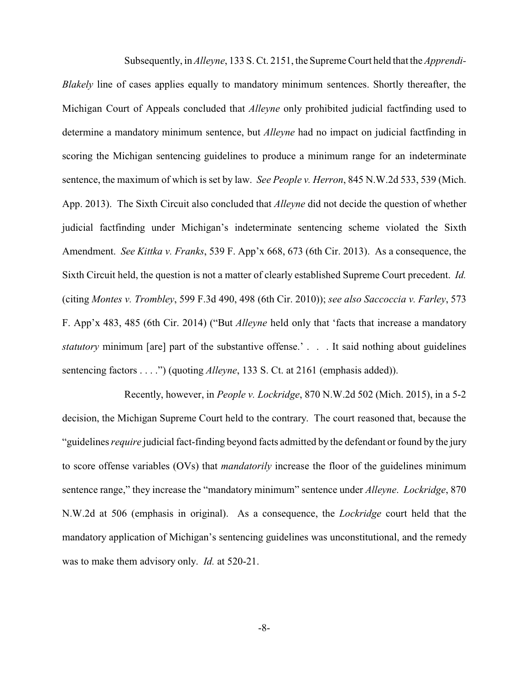Subsequently, in *Alleyne*, 133 S. Ct. 2151, the Supreme Court held that the *Apprendi-Blakely* line of cases applies equally to mandatory minimum sentences. Shortly thereafter, the Michigan Court of Appeals concluded that *Alleyne* only prohibited judicial factfinding used to determine a mandatory minimum sentence, but *Alleyne* had no impact on judicial factfinding in scoring the Michigan sentencing guidelines to produce a minimum range for an indeterminate sentence, the maximum of which is set by law. *See People v. Herron*, 845 N.W.2d 533, 539 (Mich. App. 2013). The Sixth Circuit also concluded that *Alleyne* did not decide the question of whether judicial factfinding under Michigan's indeterminate sentencing scheme violated the Sixth Amendment. *See Kittka v. Franks*, 539 F. App'x 668, 673 (6th Cir. 2013). As a consequence, the Sixth Circuit held, the question is not a matter of clearly established Supreme Court precedent. *Id.* (citing *Montes v. Trombley*, 599 F.3d 490, 498 (6th Cir. 2010)); *see also Saccoccia v. Farley*, 573 F. App'x 483, 485 (6th Cir. 2014) ("But *Alleyne* held only that 'facts that increase a mandatory *statutory* minimum [are] part of the substantive offense.' . . . It said nothing about guidelines sentencing factors . . . .") (quoting *Alleyne*, 133 S. Ct. at 2161 (emphasis added)).

Recently, however, in *People v. Lockridge*, 870 N.W.2d 502 (Mich. 2015), in a 5-2 decision, the Michigan Supreme Court held to the contrary. The court reasoned that, because the "guidelines *require* judicial fact-finding beyond facts admitted by the defendant or found by the jury to score offense variables (OVs) that *mandatorily* increase the floor of the guidelines minimum sentence range," they increase the "mandatory minimum" sentence under *Alleyne*. *Lockridge*, 870 N.W.2d at 506 (emphasis in original). As a consequence, the *Lockridge* court held that the mandatory application of Michigan's sentencing guidelines was unconstitutional, and the remedy was to make them advisory only. *Id.* at 520-21.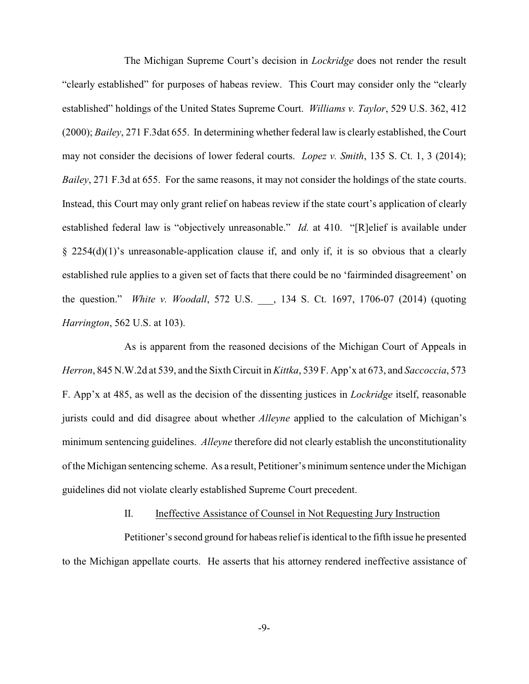The Michigan Supreme Court's decision in *Lockridge* does not render the result "clearly established" for purposes of habeas review. This Court may consider only the "clearly established" holdings of the United States Supreme Court. *Williams v. Taylor*, 529 U.S. 362, 412 (2000); *Bailey*, 271 F.3dat 655. In determining whether federal law is clearly established, the Court may not consider the decisions of lower federal courts. *Lopez v. Smith*, 135 S. Ct. 1, 3 (2014); *Bailey*, 271 F.3d at 655. For the same reasons, it may not consider the holdings of the state courts. Instead, this Court may only grant relief on habeas review if the state court's application of clearly established federal law is "objectively unreasonable." *Id.* at 410. "[R]elief is available under § 2254(d)(1)'s unreasonable-application clause if, and only if, it is so obvious that a clearly established rule applies to a given set of facts that there could be no 'fairminded disagreement' on the question." *White v. Woodall*, 572 U.S. \_\_\_, 134 S. Ct. 1697, 1706-07 (2014) (quoting *Harrington*, 562 U.S. at 103).

As is apparent from the reasoned decisions of the Michigan Court of Appeals in *Herron*, 845 N.W.2d at 539, and the Sixth Circuit in *Kittka*, 539 F. App'x at 673, and *Saccoccia*, 573 F. App'x at 485, as well as the decision of the dissenting justices in *Lockridge* itself, reasonable jurists could and did disagree about whether *Alleyne* applied to the calculation of Michigan's minimum sentencing guidelines. *Alleyne* therefore did not clearly establish the unconstitutionality of the Michigan sentencing scheme. As a result, Petitioner's minimum sentence under the Michigan guidelines did not violate clearly established Supreme Court precedent.

#### II. Ineffective Assistance of Counsel in Not Requesting Jury Instruction

Petitioner's second ground for habeas relief is identical to the fifth issue he presented to the Michigan appellate courts. He asserts that his attorney rendered ineffective assistance of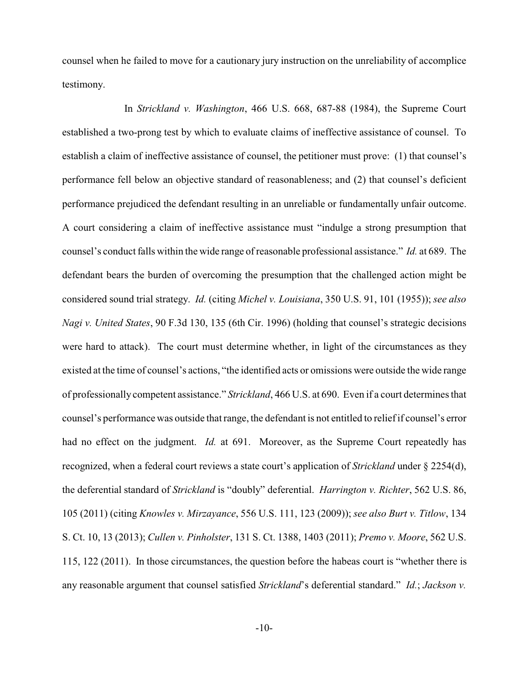counsel when he failed to move for a cautionary jury instruction on the unreliability of accomplice testimony.

In *Strickland v. Washington*, 466 U.S. 668, 687-88 (1984), the Supreme Court established a two-prong test by which to evaluate claims of ineffective assistance of counsel. To establish a claim of ineffective assistance of counsel, the petitioner must prove: (1) that counsel's performance fell below an objective standard of reasonableness; and (2) that counsel's deficient performance prejudiced the defendant resulting in an unreliable or fundamentally unfair outcome. A court considering a claim of ineffective assistance must "indulge a strong presumption that counsel's conduct falls within the wide range of reasonable professional assistance." *Id.* at 689. The defendant bears the burden of overcoming the presumption that the challenged action might be considered sound trial strategy. *Id.* (citing *Michel v. Louisiana*, 350 U.S. 91, 101 (1955)); *see also Nagi v. United States*, 90 F.3d 130, 135 (6th Cir. 1996) (holding that counsel's strategic decisions were hard to attack). The court must determine whether, in light of the circumstances as they existed at the time of counsel's actions, "the identified acts or omissions were outside the wide range of professionally competent assistance." *Strickland*, 466 U.S. at 690. Even if a court determines that counsel's performance was outside that range, the defendant is not entitled to relief if counsel's error had no effect on the judgment. *Id.* at 691. Moreover, as the Supreme Court repeatedly has recognized, when a federal court reviews a state court's application of *Strickland* under § 2254(d), the deferential standard of *Strickland* is "doubly" deferential. *Harrington v. Richter*, 562 U.S. 86, 105 (2011) (citing *Knowles v. Mirzayance*, 556 U.S. 111, 123 (2009)); *see also Burt v. Titlow*, 134 S. Ct. 10, 13 (2013); *Cullen v. Pinholster*, 131 S. Ct. 1388, 1403 (2011); *Premo v. Moore*, 562 U.S. 115, 122 (2011). In those circumstances, the question before the habeas court is "whether there is any reasonable argument that counsel satisfied *Strickland*'s deferential standard." *Id.*; *Jackson v.*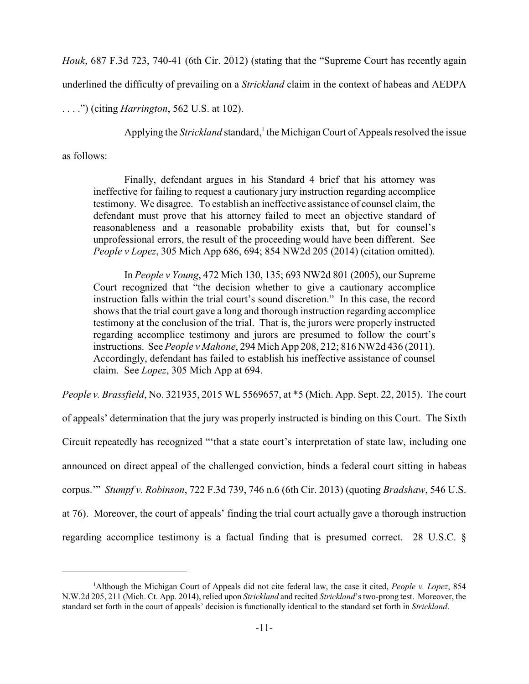*Houk*, 687 F.3d 723, 740-41 (6th Cir. 2012) (stating that the "Supreme Court has recently again

underlined the difficulty of prevailing on a *Strickland* claim in the context of habeas and AEDPA

. . . .") (citing *Harrington*, 562 U.S. at 102).

Applying the *Strickland* standard,<sup>1</sup> the Michigan Court of Appeals resolved the issue

as follows:

Finally, defendant argues in his Standard 4 brief that his attorney was ineffective for failing to request a cautionary jury instruction regarding accomplice testimony. We disagree. To establish an ineffective assistance of counsel claim, the defendant must prove that his attorney failed to meet an objective standard of reasonableness and a reasonable probability exists that, but for counsel's unprofessional errors, the result of the proceeding would have been different. See *People v Lopez*, 305 Mich App 686, 694; 854 NW2d 205 (2014) (citation omitted).

In *People v Young*, 472 Mich 130, 135; 693 NW2d 801 (2005), our Supreme Court recognized that "the decision whether to give a cautionary accomplice instruction falls within the trial court's sound discretion." In this case, the record shows that the trial court gave a long and thorough instruction regarding accomplice testimony at the conclusion of the trial. That is, the jurors were properly instructed regarding accomplice testimony and jurors are presumed to follow the court's instructions. See *People v Mahone*, 294 Mich App 208, 212; 816 NW2d 436 (2011). Accordingly, defendant has failed to establish his ineffective assistance of counsel claim. See *Lopez*, 305 Mich App at 694.

*People v. Brassfield*, No. 321935, 2015 WL 5569657, at \*5 (Mich. App. Sept. 22, 2015). The court

of appeals' determination that the jury was properly instructed is binding on this Court. The Sixth Circuit repeatedly has recognized "'that a state court's interpretation of state law, including one announced on direct appeal of the challenged conviction, binds a federal court sitting in habeas corpus.'" *Stumpf v. Robinson*, 722 F.3d 739, 746 n.6 (6th Cir. 2013) (quoting *Bradshaw*, 546 U.S. at 76). Moreover, the court of appeals' finding the trial court actually gave a thorough instruction regarding accomplice testimony is a factual finding that is presumed correct. 28 U.S.C. §

<sup>1</sup>Although the Michigan Court of Appeals did not cite federal law, the case it cited, *People v. Lopez*, 854 N.W.2d 205, 211 (Mich. Ct. App. 2014), relied upon *Strickland* and recited *Strickland*'s two-prong test. Moreover, the standard set forth in the court of appeals' decision is functionally identical to the standard set forth in *Strickland*.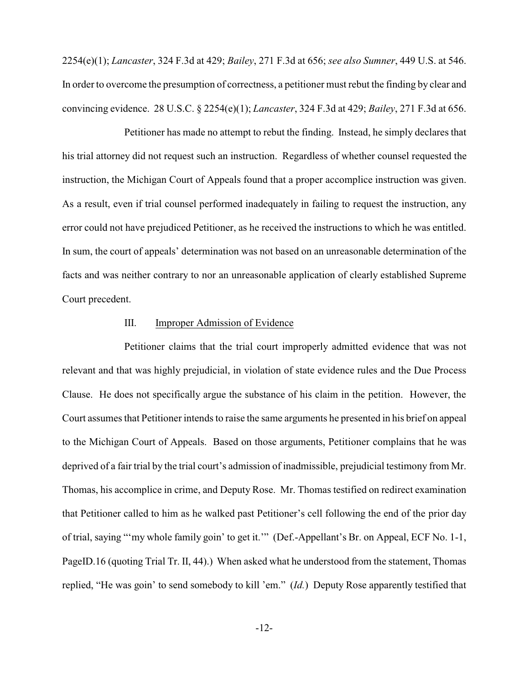2254(e)(1); *Lancaster*, 324 F.3d at 429; *Bailey*, 271 F.3d at 656; *see also Sumner*, 449 U.S. at 546. In order to overcome the presumption of correctness, a petitioner must rebut the finding by clear and convincing evidence. 28 U.S.C. § 2254(e)(1); *Lancaster*, 324 F.3d at 429; *Bailey*, 271 F.3d at 656.

Petitioner has made no attempt to rebut the finding. Instead, he simply declares that his trial attorney did not request such an instruction. Regardless of whether counsel requested the instruction, the Michigan Court of Appeals found that a proper accomplice instruction was given. As a result, even if trial counsel performed inadequately in failing to request the instruction, any error could not have prejudiced Petitioner, as he received the instructions to which he was entitled. In sum, the court of appeals' determination was not based on an unreasonable determination of the facts and was neither contrary to nor an unreasonable application of clearly established Supreme Court precedent.

# III. Improper Admission of Evidence

Petitioner claims that the trial court improperly admitted evidence that was not relevant and that was highly prejudicial, in violation of state evidence rules and the Due Process Clause. He does not specifically argue the substance of his claim in the petition. However, the Court assumes that Petitioner intends to raise the same arguments he presented in his brief on appeal to the Michigan Court of Appeals. Based on those arguments, Petitioner complains that he was deprived of a fair trial by the trial court's admission of inadmissible, prejudicial testimony from Mr. Thomas, his accomplice in crime, and Deputy Rose. Mr. Thomas testified on redirect examination that Petitioner called to him as he walked past Petitioner's cell following the end of the prior day of trial, saying "'my whole family goin' to get it.'" (Def.-Appellant's Br. on Appeal, ECF No. 1-1, PageID.16 (quoting Trial Tr. II, 44).) When asked what he understood from the statement, Thomas replied, "He was goin' to send somebody to kill 'em." (*Id.*) Deputy Rose apparently testified that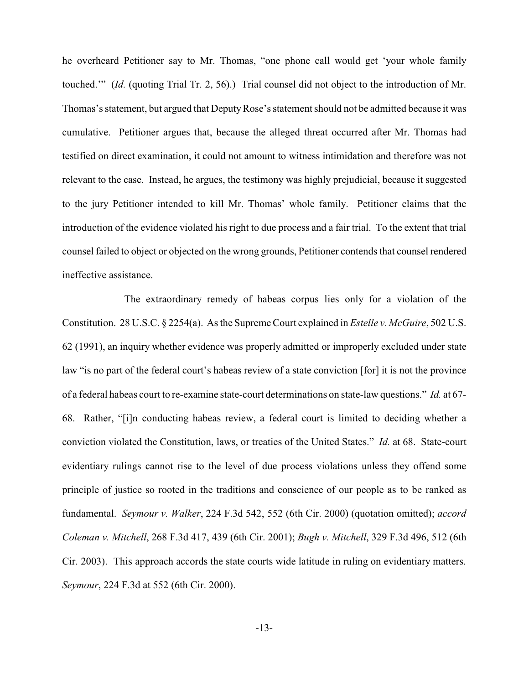he overheard Petitioner say to Mr. Thomas, "one phone call would get 'your whole family touched.'" (*Id.* (quoting Trial Tr. 2, 56).) Trial counsel did not object to the introduction of Mr. Thomas's statement, but argued that Deputy Rose's statement should not be admitted because it was cumulative. Petitioner argues that, because the alleged threat occurred after Mr. Thomas had testified on direct examination, it could not amount to witness intimidation and therefore was not relevant to the case. Instead, he argues, the testimony was highly prejudicial, because it suggested to the jury Petitioner intended to kill Mr. Thomas' whole family. Petitioner claims that the introduction of the evidence violated his right to due process and a fair trial. To the extent that trial counsel failed to object or objected on the wrong grounds, Petitioner contends that counsel rendered ineffective assistance.

The extraordinary remedy of habeas corpus lies only for a violation of the Constitution. 28 U.S.C. § 2254(a). As the Supreme Court explained in *Estelle v. McGuire*, 502 U.S. 62 (1991), an inquiry whether evidence was properly admitted or improperly excluded under state law "is no part of the federal court's habeas review of a state conviction [for] it is not the province of a federal habeas court to re-examine state-court determinations on state-law questions." *Id.* at 67- 68. Rather, "[i]n conducting habeas review, a federal court is limited to deciding whether a conviction violated the Constitution, laws, or treaties of the United States." *Id.* at 68. State-court evidentiary rulings cannot rise to the level of due process violations unless they offend some principle of justice so rooted in the traditions and conscience of our people as to be ranked as fundamental. *Seymour v. Walker*, 224 F.3d 542, 552 (6th Cir. 2000) (quotation omitted); *accord Coleman v. Mitchell*, 268 F.3d 417, 439 (6th Cir. 2001); *Bugh v. Mitchell*, 329 F.3d 496, 512 (6th Cir. 2003). This approach accords the state courts wide latitude in ruling on evidentiary matters. *Seymour*, 224 F.3d at 552 (6th Cir. 2000).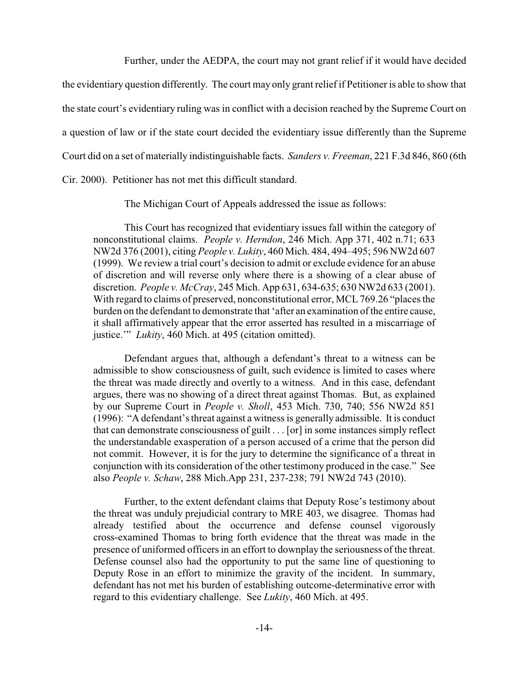Further, under the AEDPA, the court may not grant relief if it would have decided

the evidentiary question differently. The court may only grant relief if Petitioner is able to show that the state court's evidentiary ruling was in conflict with a decision reached by the Supreme Court on a question of law or if the state court decided the evidentiary issue differently than the Supreme Court did on a set of materially indistinguishable facts. *Sanders v. Freeman*, 221 F.3d 846, 860 (6th Cir. 2000). Petitioner has not met this difficult standard.

The Michigan Court of Appeals addressed the issue as follows:

This Court has recognized that evidentiary issues fall within the category of nonconstitutional claims. *People v. Herndon*, 246 Mich. App 371, 402 n.71; 633 NW2d 376 (2001), citing *People v. Lukity*, 460 Mich. 484, 494–495; 596 NW2d 607 (1999). We review a trial court's decision to admit or exclude evidence for an abuse of discretion and will reverse only where there is a showing of a clear abuse of discretion. *People v. McCray*, 245 Mich. App 631, 634-635; 630 NW2d 633 (2001). With regard to claims of preserved, nonconstitutional error, MCL 769.26 "places the burden on the defendant to demonstrate that 'after an examination of the entire cause, it shall affirmatively appear that the error asserted has resulted in a miscarriage of justice.'" *Lukity*, 460 Mich. at 495 (citation omitted).

Defendant argues that, although a defendant's threat to a witness can be admissible to show consciousness of guilt, such evidence is limited to cases where the threat was made directly and overtly to a witness. And in this case, defendant argues, there was no showing of a direct threat against Thomas. But, as explained by our Supreme Court in *People v. Sholl*, 453 Mich. 730, 740; 556 NW2d 851 (1996): "A defendant's threat against a witness is generally admissible. It is conduct that can demonstrate consciousness of guilt . . . [or] in some instances simply reflect the understandable exasperation of a person accused of a crime that the person did not commit. However, it is for the jury to determine the significance of a threat in conjunction with its consideration of the other testimony produced in the case." See also *People v. Schaw*, 288 Mich.App 231, 237-238; 791 NW2d 743 (2010).

Further, to the extent defendant claims that Deputy Rose's testimony about the threat was unduly prejudicial contrary to MRE 403, we disagree. Thomas had already testified about the occurrence and defense counsel vigorously cross-examined Thomas to bring forth evidence that the threat was made in the presence of uniformed officers in an effort to downplay the seriousness of the threat. Defense counsel also had the opportunity to put the same line of questioning to Deputy Rose in an effort to minimize the gravity of the incident. In summary, defendant has not met his burden of establishing outcome-determinative error with regard to this evidentiary challenge. See *Lukity*, 460 Mich. at 495.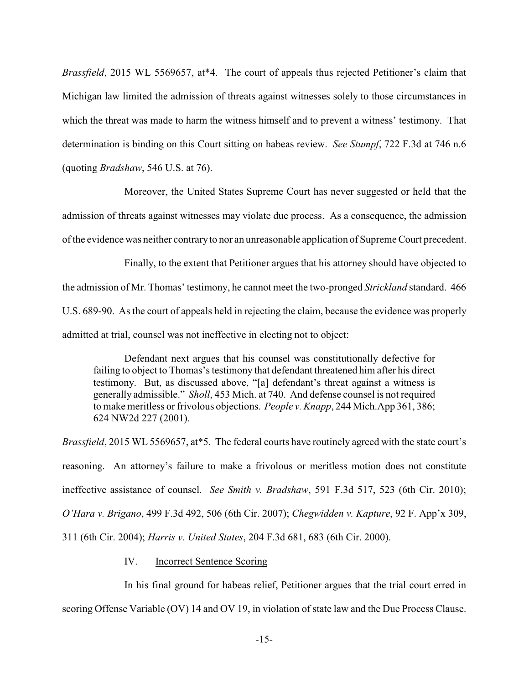*Brassfield*, 2015 WL 5569657, at\*4. The court of appeals thus rejected Petitioner's claim that Michigan law limited the admission of threats against witnesses solely to those circumstances in which the threat was made to harm the witness himself and to prevent a witness' testimony. That determination is binding on this Court sitting on habeas review. *See Stumpf*, 722 F.3d at 746 n.6 (quoting *Bradshaw*, 546 U.S. at 76).

Moreover, the United States Supreme Court has never suggested or held that the admission of threats against witnesses may violate due process. As a consequence, the admission of the evidence was neither contraryto nor an unreasonable application of Supreme Court precedent.

Finally, to the extent that Petitioner argues that his attorney should have objected to the admission of Mr. Thomas' testimony, he cannot meet the two-pronged *Strickland* standard. 466 U.S. 689-90. As the court of appeals held in rejecting the claim, because the evidence was properly admitted at trial, counsel was not ineffective in electing not to object:

Defendant next argues that his counsel was constitutionally defective for failing to object to Thomas's testimony that defendant threatened him after his direct testimony. But, as discussed above, "[a] defendant's threat against a witness is generally admissible." *Sholl*, 453 Mich. at 740. And defense counsel is not required to make meritless or frivolous objections. *People v. Knapp*, 244 Mich.App 361, 386; 624 NW2d 227 (2001).

*Brassfield*, 2015 WL 5569657, at\*5. The federal courts have routinely agreed with the state court's reasoning. An attorney's failure to make a frivolous or meritless motion does not constitute ineffective assistance of counsel. *See Smith v. Bradshaw*, 591 F.3d 517, 523 (6th Cir. 2010); *O'Hara v. Brigano*, 499 F.3d 492, 506 (6th Cir. 2007); *Chegwidden v. Kapture*, 92 F. App'x 309, 311 (6th Cir. 2004); *Harris v. United States*, 204 F.3d 681, 683 (6th Cir. 2000).

# IV. Incorrect Sentence Scoring

In his final ground for habeas relief, Petitioner argues that the trial court erred in scoring Offense Variable (OV) 14 and OV 19, in violation of state law and the Due Process Clause.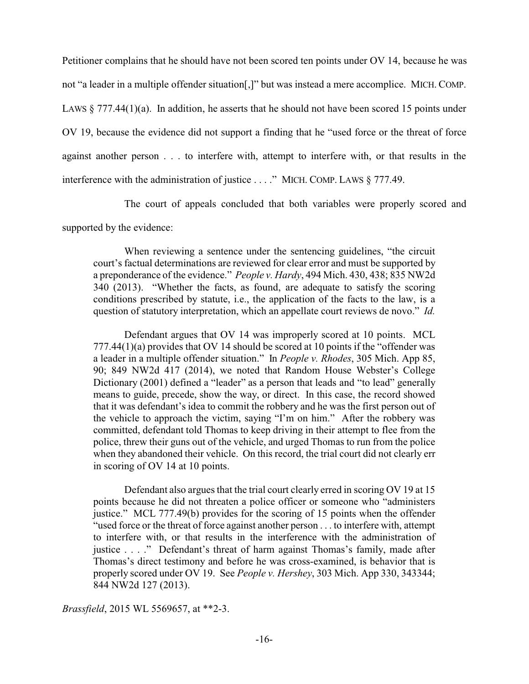Petitioner complains that he should have not been scored ten points under OV 14, because he was not "a leader in a multiple offender situation[,]" but was instead a mere accomplice. MICH. COMP. LAWS  $\S 777.44(1)(a)$ . In addition, he asserts that he should not have been scored 15 points under OV 19, because the evidence did not support a finding that he "used force or the threat of force against another person . . . to interfere with, attempt to interfere with, or that results in the interference with the administration of justice . . . ." MICH. COMP. LAWS § 777.49.

The court of appeals concluded that both variables were properly scored and

supported by the evidence:

When reviewing a sentence under the sentencing guidelines, "the circuit court's factual determinations are reviewed for clear error and must be supported by a preponderance of the evidence." *People v. Hardy*, 494 Mich. 430, 438; 835 NW2d 340 (2013). "Whether the facts, as found, are adequate to satisfy the scoring conditions prescribed by statute, i.e., the application of the facts to the law, is a question of statutory interpretation, which an appellate court reviews de novo." *Id.*

Defendant argues that OV 14 was improperly scored at 10 points. MCL 777.44(1)(a) provides that OV 14 should be scored at 10 points if the "offender was a leader in a multiple offender situation." In *People v. Rhodes*, 305 Mich. App 85, 90; 849 NW2d 417 (2014), we noted that Random House Webster's College Dictionary (2001) defined a "leader" as a person that leads and "to lead" generally means to guide, precede, show the way, or direct. In this case, the record showed that it was defendant's idea to commit the robbery and he was the first person out of the vehicle to approach the victim, saying "I'm on him." After the robbery was committed, defendant told Thomas to keep driving in their attempt to flee from the police, threw their guns out of the vehicle, and urged Thomas to run from the police when they abandoned their vehicle. On this record, the trial court did not clearly err in scoring of OV 14 at 10 points.

Defendant also argues that the trial court clearly erred in scoring OV 19 at 15 points because he did not threaten a police officer or someone who "administers justice." MCL 777.49(b) provides for the scoring of 15 points when the offender "used force or the threat of force against another person . . . to interfere with, attempt to interfere with, or that results in the interference with the administration of justice . . . ." Defendant's threat of harm against Thomas's family, made after Thomas's direct testimony and before he was cross-examined, is behavior that is properly scored under OV 19. See *People v. Hershey*, 303 Mich. App 330, 343344; 844 NW2d 127 (2013).

*Brassfield*, 2015 WL 5569657, at \*\*2-3.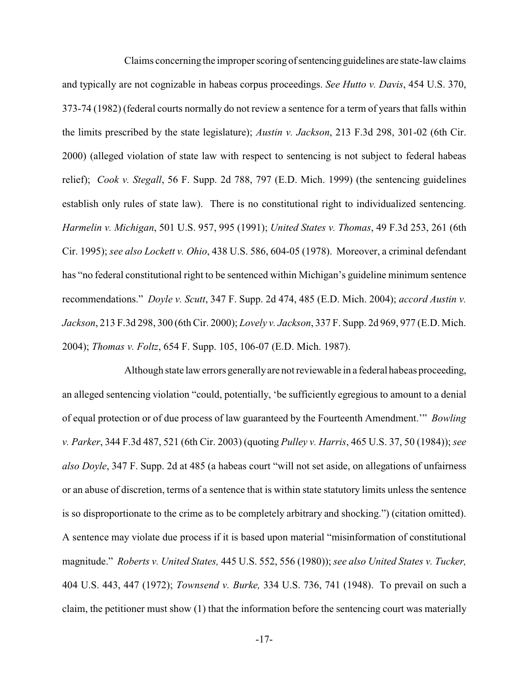Claims concerning the improper scoring of sentencing guidelines are state-law claims and typically are not cognizable in habeas corpus proceedings. *See Hutto v. Davis*, 454 U.S. 370, 373-74 (1982) (federal courts normally do not review a sentence for a term of years that falls within the limits prescribed by the state legislature); *Austin v. Jackson*, 213 F.3d 298, 301-02 (6th Cir. 2000) (alleged violation of state law with respect to sentencing is not subject to federal habeas relief); *Cook v. Stegall*, 56 F. Supp. 2d 788, 797 (E.D. Mich. 1999) (the sentencing guidelines establish only rules of state law). There is no constitutional right to individualized sentencing. *Harmelin v. Michigan*, 501 U.S. 957, 995 (1991); *United States v. Thomas*, 49 F.3d 253, 261 (6th Cir. 1995); *see also Lockett v. Ohio*, 438 U.S. 586, 604-05 (1978). Moreover, a criminal defendant has "no federal constitutional right to be sentenced within Michigan's guideline minimum sentence recommendations." *Doyle v. Scutt*, 347 F. Supp. 2d 474, 485 (E.D. Mich. 2004); *accord Austin v. Jackson*, 213 F.3d 298, 300 (6th Cir. 2000); *Lovely v. Jackson*, 337 F. Supp. 2d 969, 977 (E.D. Mich. 2004); *Thomas v. Foltz*, 654 F. Supp. 105, 106-07 (E.D. Mich. 1987).

Although state law errors generallyare not reviewable in a federal habeas proceeding, an alleged sentencing violation "could, potentially, 'be sufficiently egregious to amount to a denial of equal protection or of due process of law guaranteed by the Fourteenth Amendment.'" *Bowling v. Parker*, 344 F.3d 487, 521 (6th Cir. 2003) (quoting *Pulley v. Harris*, 465 U.S. 37, 50 (1984)); *see also Doyle*, 347 F. Supp. 2d at 485 (a habeas court "will not set aside, on allegations of unfairness or an abuse of discretion, terms of a sentence that is within state statutory limits unless the sentence is so disproportionate to the crime as to be completely arbitrary and shocking.") (citation omitted). A sentence may violate due process if it is based upon material "misinformation of constitutional magnitude." *Roberts v. United States,* 445 U.S. 552, 556 (1980)); *see also United States v. Tucker,* 404 U.S. 443, 447 (1972); *Townsend v. Burke,* 334 U.S. 736, 741 (1948). To prevail on such a claim, the petitioner must show (1) that the information before the sentencing court was materially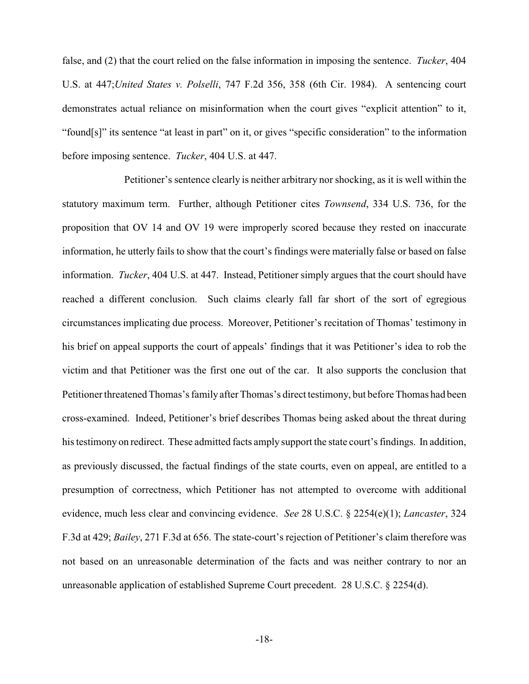false, and (2) that the court relied on the false information in imposing the sentence. *Tucker*, 404 U.S. at 447;*United States v. Polselli*, 747 F.2d 356, 358 (6th Cir. 1984). A sentencing court demonstrates actual reliance on misinformation when the court gives "explicit attention" to it, "found[s]" its sentence "at least in part" on it, or gives "specific consideration" to the information before imposing sentence. *Tucker*, 404 U.S. at 447.

Petitioner's sentence clearly is neither arbitrary nor shocking, as it is well within the statutory maximum term. Further, although Petitioner cites *Townsend*, 334 U.S. 736, for the proposition that OV 14 and OV 19 were improperly scored because they rested on inaccurate information, he utterly fails to show that the court's findings were materially false or based on false information. *Tucker*, 404 U.S. at 447. Instead, Petitioner simply argues that the court should have reached a different conclusion. Such claims clearly fall far short of the sort of egregious circumstances implicating due process. Moreover, Petitioner's recitation of Thomas' testimony in his brief on appeal supports the court of appeals' findings that it was Petitioner's idea to rob the victim and that Petitioner was the first one out of the car. It also supports the conclusion that Petitioner threatened Thomas's family after Thomas's direct testimony, but before Thomas had been cross-examined. Indeed, Petitioner's brief describes Thomas being asked about the threat during his testimony on redirect. These admitted facts amply support the state court's findings. In addition, as previously discussed, the factual findings of the state courts, even on appeal, are entitled to a presumption of correctness, which Petitioner has not attempted to overcome with additional evidence, much less clear and convincing evidence. *See* 28 U.S.C. § 2254(e)(1); *Lancaster*, 324 F.3d at 429; *Bailey*, 271 F.3d at 656. The state-court's rejection of Petitioner's claim therefore was not based on an unreasonable determination of the facts and was neither contrary to nor an unreasonable application of established Supreme Court precedent. 28 U.S.C. § 2254(d).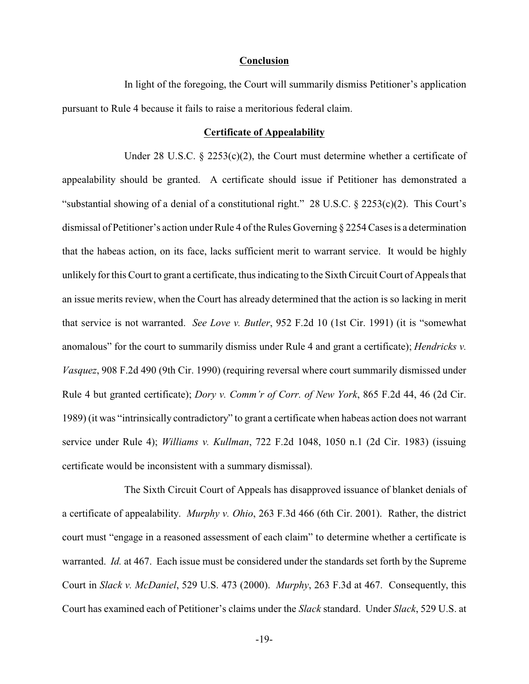### **Conclusion**

In light of the foregoing, the Court will summarily dismiss Petitioner's application pursuant to Rule 4 because it fails to raise a meritorious federal claim.

#### **Certificate of Appealability**

Under 28 U.S.C.  $\S$  2253(c)(2), the Court must determine whether a certificate of appealability should be granted. A certificate should issue if Petitioner has demonstrated a "substantial showing of a denial of a constitutional right." 28 U.S.C. § 2253(c)(2). This Court's dismissal of Petitioner's action under Rule 4 of the Rules Governing § 2254 Cases is a determination that the habeas action, on its face, lacks sufficient merit to warrant service. It would be highly unlikely for this Court to grant a certificate, thus indicating to the Sixth Circuit Court of Appeals that an issue merits review, when the Court has already determined that the action is so lacking in merit that service is not warranted. *See Love v. Butler*, 952 F.2d 10 (1st Cir. 1991) (it is "somewhat anomalous" for the court to summarily dismiss under Rule 4 and grant a certificate); *Hendricks v. Vasquez*, 908 F.2d 490 (9th Cir. 1990) (requiring reversal where court summarily dismissed under Rule 4 but granted certificate); *Dory v. Comm'r of Corr. of New York*, 865 F.2d 44, 46 (2d Cir. 1989) (it was "intrinsically contradictory" to grant a certificate when habeas action does not warrant service under Rule 4); *Williams v. Kullman*, 722 F.2d 1048, 1050 n.1 (2d Cir. 1983) (issuing certificate would be inconsistent with a summary dismissal).

The Sixth Circuit Court of Appeals has disapproved issuance of blanket denials of a certificate of appealability. *Murphy v. Ohio*, 263 F.3d 466 (6th Cir. 2001). Rather, the district court must "engage in a reasoned assessment of each claim" to determine whether a certificate is warranted. *Id.* at 467. Each issue must be considered under the standards set forth by the Supreme Court in *Slack v. McDaniel*, 529 U.S. 473 (2000). *Murphy*, 263 F.3d at 467. Consequently, this Court has examined each of Petitioner's claims under the *Slack* standard. Under *Slack*, 529 U.S. at